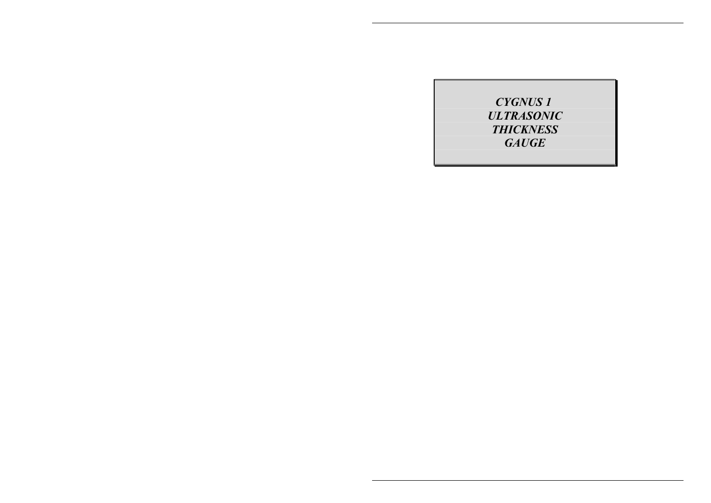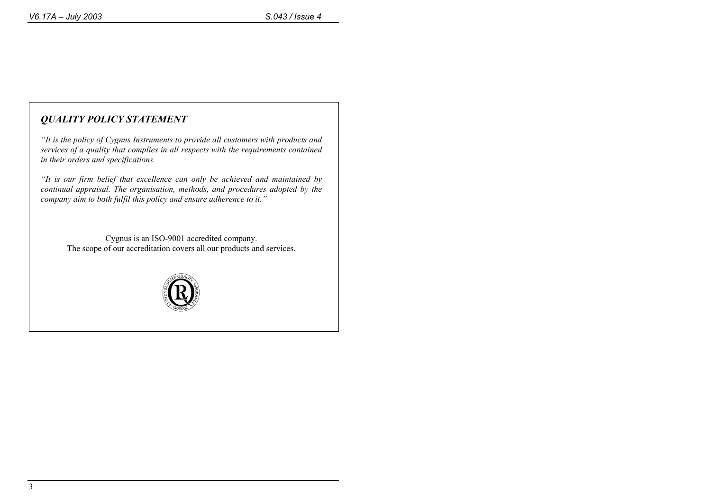# *QUALITY POLICY STATEMENT*

*"It is the policy of Cygnus Instruments to provide all customers with products and services of a quality that complies in all respects with the requirements contained in their orders and specifications.*

*"It is our firm belief that excellence can only be achieved and maintained by continual appraisal. The organisation, methods, and procedures adopted by the company aim to both fulfil this policy and ensure adherence to it."*

Cygnus is an ISO-9001 accredited company. The scope of our accreditation covers all our products and services.

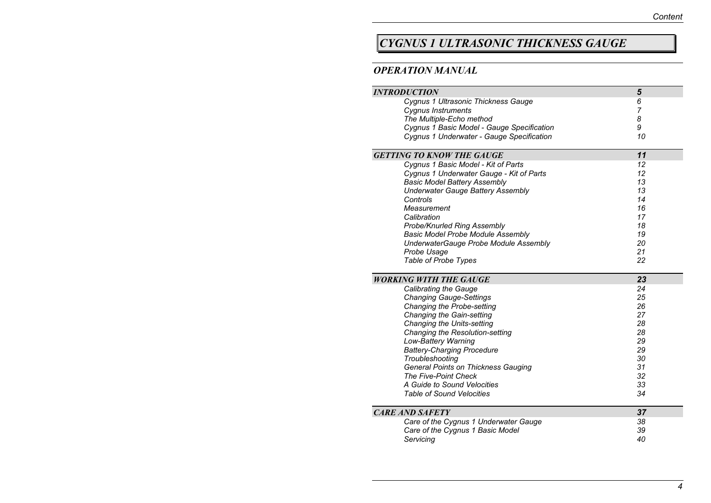# *CYGNUS 1 ULTRASONIC THICKNESS GAUGE*

### *OPERATION MANUAL*

| <i><b>INTRODUCTION</b></i>                                                | 5        |
|---------------------------------------------------------------------------|----------|
| Cygnus 1 Ultrasonic Thickness Gauge                                       | 6        |
| <b>Cygnus Instruments</b>                                                 | 7        |
| The Multiple-Echo method                                                  | 8        |
| Cygnus 1 Basic Model - Gauge Specification                                | 9        |
| Cygnus 1 Underwater - Gauge Specification                                 | 10       |
|                                                                           |          |
| <b>GETTING TO KNOW THE GAUGE</b>                                          | 11       |
| Cygnus 1 Basic Model - Kit of Parts                                       | 12       |
| Cygnus 1 Underwater Gauge - Kit of Parts                                  | 12       |
| <b>Basic Model Battery Assembly</b>                                       | 13       |
| <b>Underwater Gauge Battery Assembly</b>                                  | 13       |
| Controls                                                                  | 14       |
| Measurement                                                               | 16       |
| Calibration                                                               | 17       |
| Probe/Knurled Ring Assembly                                               | 18       |
| <b>Basic Model Probe Module Assembly</b>                                  | 19       |
| UnderwaterGauge Probe Module Assembly                                     | 20       |
| Probe Usage                                                               | 21       |
| Table of Probe Types                                                      | 22       |
|                                                                           |          |
|                                                                           |          |
| <b>WORKING WITH THE GAUGE</b>                                             | 23       |
| Calibrating the Gauge                                                     | 24       |
| <b>Changing Gauge-Settings</b>                                            | 25       |
| Changing the Probe-setting                                                | 26       |
| Changing the Gain-setting                                                 | 27       |
|                                                                           | 28       |
| Changing the Units-setting                                                | 28       |
| Changing the Resolution-setting<br><b>Low-Battery Warning</b>             | 29       |
|                                                                           | 29       |
| <b>Battery-Charging Procedure</b>                                         | 30       |
| Troubleshooting                                                           |          |
| <b>General Points on Thickness Gauging</b><br><b>The Five-Point Check</b> | 31<br>32 |
|                                                                           |          |
| A Guide to Sound Velocities<br><b>Table of Sound Velocities</b>           | 33       |
|                                                                           | 34       |
| <b>CARE AND SAFETY</b>                                                    | 37       |
|                                                                           | 38       |
| Care of the Cygnus 1 Underwater Gauge                                     |          |
| Care of the Cygnus 1 Basic Model<br>Servicing                             | 39<br>40 |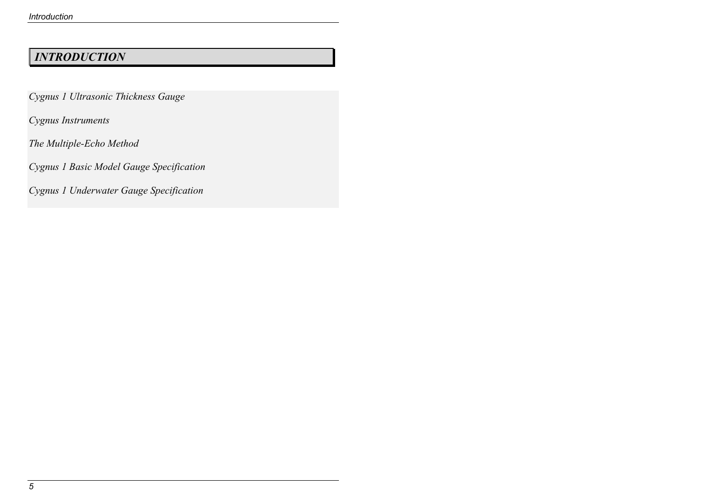# <span id="page-3-0"></span>*INTRODUCTION*

*Cygnus 1 Ultrasonic Thickness Gauge*

*Cygnus Instruments*

*The Multiple-Echo Method*

*Cygnus 1 Basic Model Gauge Specification*

*Cygnus 1 Underwater Gauge Specification*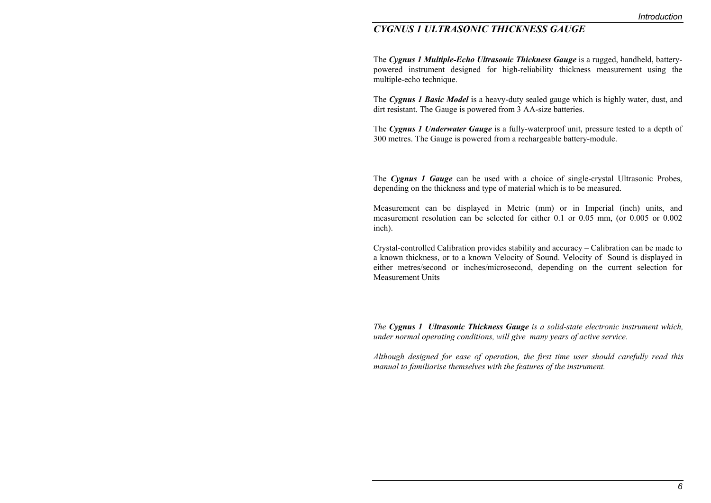### <span id="page-4-0"></span>*CYGNUS 1 ULTRASONIC THICKNESS GAUGE*

The *Cygnus 1 Multiple-Echo Ultrasonic Thickness Gauge* is a rugged, handheld, batterypowered instrument designed for high-reliability thickness measurement using the multiple-echo technique.

The *Cygnus 1 Basic Model* is a heavy-duty sealed gauge which is highly water, dust, and dirt resistant. The Gauge is powered from 3 AA-size batteries.

The *Cygnus 1 Underwater Gauge* is a fully-waterproof unit, pressure tested to a depth of 300 metres. The Gauge is powered from a rechargeable battery-module.

The *Cygnus 1 Gauge* can be used with a choice of single-crystal Ultrasonic Probes, depending on the thickness and type of material which is to be measured.

Measurement can be displayed in Metric (mm) or in Imperial (inch) units, and measurement resolution can be selected for either 0.1 or 0.05 mm, (or 0.005 or 0.002 inch).

Crystal-controlled Calibration provides stability and accuracy – Calibration can be made to a known thickness, or to a known Velocity of Sound. Velocity of Sound is displayed in either metres/second or inches/microsecond, depending on the current selection for Measurement Units

*The Cygnus 1 Ultrasonic Thickness Gauge is a solid-state electronic instrument which, under normal operating conditions, will give many years of active service.*

*Although designed for ease of operation, the first time user should carefully read this manual to familiarise themselves with the features of the instrument.*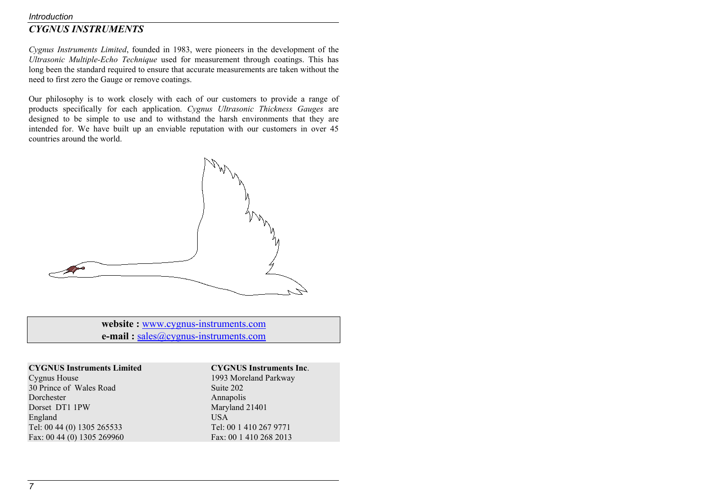#### *Introduction*

# *CYGNUS INSTRUMENTS*

*Cygnus Instruments Limited*, founded in 1983, were pioneers in the development of the *Ultrasonic Multiple-Echo Technique* used for measurement through coatings. This has long been the standard required to ensure that accurate measurements are taken without the need to first zero the Gauge or remove coatings.

Our philosophy is to work closely with each of our customers to provide a range of products specifically for each application. *Cygnus Ultrasonic Thickness Gauges* are designed to be simple to use and to withstand the harsh environments that they are intended for. We have built up an enviable reputation with our customers in over 45 countries around the world.



**website :** www.cygnus-[instruments.com](http://www.cygnus-instruments.com/) **e-mail :** [sales@cygnus-instruments.com](http://www.cygnus-instruments.com/)

| <b>CYGNUS Instruments Limited</b> | <b>CYGNUS Instruments Inc.</b> |
|-----------------------------------|--------------------------------|
|-----------------------------------|--------------------------------|

<span id="page-5-0"></span>

| Cygnus House               | 1993 Moreland Parkway  |
|----------------------------|------------------------|
| 30 Prince of Wales Road    | Suite 202              |
| Dorchester                 | Annapolis              |
| Dorset DT1 1PW             | Maryland 21401         |
| England                    | <b>USA</b>             |
| Tel: 00 44 (0) 1305 265533 | Tel: 00 1 410 267 9771 |
| Fax: 00 44 (0) 1305 269960 | Fax: 00 1 410 268 2013 |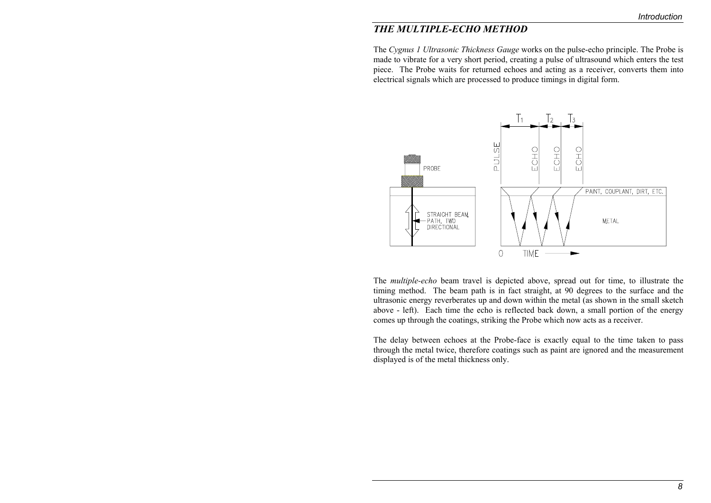# <span id="page-6-0"></span>*THE MULTIPLE-ECHO METHOD*

The *Cygnus 1 Ultrasonic Thickness Gauge* works on the pulse-echo principle. The Probe is made to vibrate for a very short period, creating a pulse of ultrasound which enters the test piece. The Probe waits for returned echoes and acting as a receiver, converts them into electrical signals which are processed to produce timings in digital form.



The *multiple-echo* beam travel is depicted above, spread out for time, to illustrate the timing method. The beam path is in fact straight, at 90 degrees to the surface and the ultrasonic energy reverberates up and down within the metal (as shown in the small sketch above - left). Each time the echo is reflected back down, a small portion of the energy comes up through the coatings, striking the Probe which now acts as a receiver.

The delay between echoes at the Probe-face is exactly equal to the time taken to pass through the metal twice, therefore coatings such as paint are ignored and the measurement displayed is of the metal thickness only.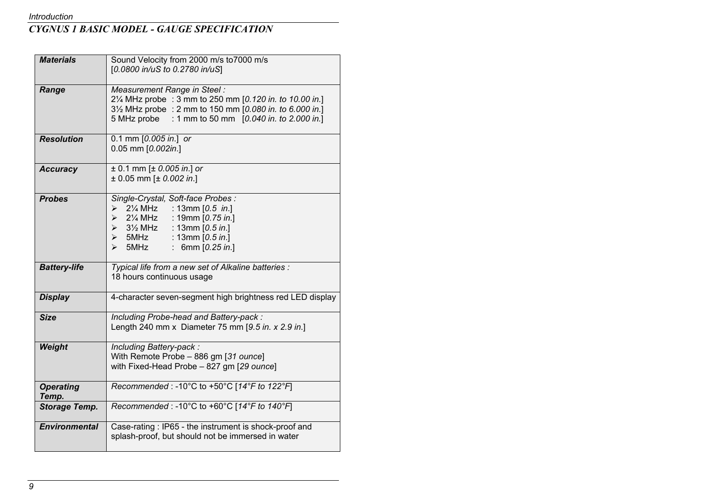<span id="page-7-0"></span>*CYGNUS 1 BASIC MODEL - GAUGE SPECIFICATION*

| <b>Materials</b>          | Sound Velocity from 2000 m/s to7000 m/s<br>[0.0800 in/uS to 0.2780 in/uS]                                                                                                                                                               |  |  |  |
|---------------------------|-----------------------------------------------------------------------------------------------------------------------------------------------------------------------------------------------------------------------------------------|--|--|--|
| Range                     | Measurement Range in Steel:<br>21/4 MHz probe : 3 mm to 250 mm [0.120 in. to 10.00 in.]<br>31/2 MHz probe : 2 mm to 150 mm [0.080 in. to 6.000 in.]<br>5 MHz probe : 1 mm to 50 mm [0.040 in. to 2.000 in.]                             |  |  |  |
| <b>Resolution</b>         | 0.1 mm [0.005 in.] or<br>0.05 mm [0.002in.]                                                                                                                                                                                             |  |  |  |
| <b>Accuracy</b>           | ± 0.1 mm [± 0.005 in.] or<br>± 0.05 mm [± 0.002 in.]                                                                                                                                                                                    |  |  |  |
| <b>Probes</b>             | Single-Crystal, Soft-face Probes :<br>$2\frac{1}{4}$ MHz<br>: 13mm $[0.5 \text{ in.}]$<br>≻<br>> 2¼ MHz : 19mm [0.75 in.<br>> 3½ MHz : 13mm [0.5 in.]<br>: 19mm [0.75 in.]<br>> 5MHz : 13mm $[0.5 in.]$<br>> 5MHz<br>: 6mm $[0.25 in.]$ |  |  |  |
| <b>Battery-life</b>       | Typical life from a new set of Alkaline batteries :<br>18 hours continuous usage                                                                                                                                                        |  |  |  |
| <b>Display</b>            | 4-character seven-segment high brightness red LED display                                                                                                                                                                               |  |  |  |
| <b>Size</b>               | Including Probe-head and Battery-pack:<br>Length 240 mm x Diameter 75 mm [9.5 in. x 2.9 in.]                                                                                                                                            |  |  |  |
| Weight                    | Including Battery-pack:<br>With Remote Probe - 886 gm [31 ounce]<br>with Fixed-Head Probe - 827 gm [29 ounce]                                                                                                                           |  |  |  |
| <b>Operating</b><br>Temp. | Recommended : -10°C to +50°C [14°F to 122°F]                                                                                                                                                                                            |  |  |  |
| <b>Storage Temp.</b>      | Recommended : -10°C to +60°C [14°F to 140°F]                                                                                                                                                                                            |  |  |  |
| <b>Environmental</b>      | Case-rating: IP65 - the instrument is shock-proof and<br>splash-proof, but should not be immersed in water                                                                                                                              |  |  |  |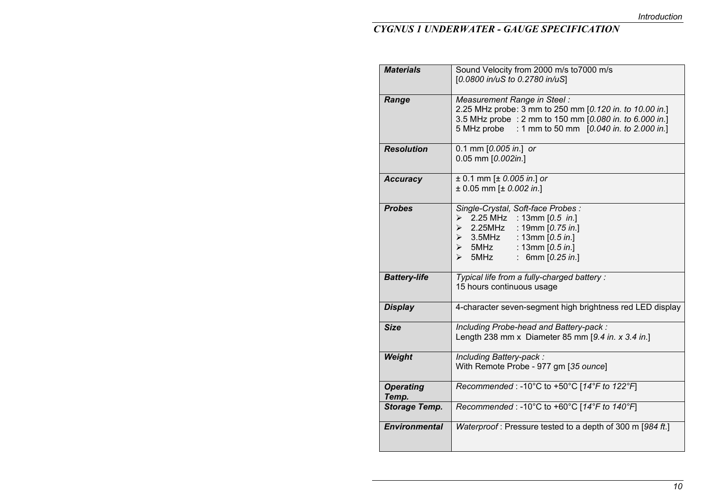### <span id="page-8-0"></span>*CYGNUS 1 UNDERWATER - GAUGE SPECIFICATION*

| <b>Materials</b>          | Sound Velocity from 2000 m/s to7000 m/s<br>[0.0800 in/uS to 0.2780 in/uS]                                                                                                                                                 |
|---------------------------|---------------------------------------------------------------------------------------------------------------------------------------------------------------------------------------------------------------------------|
| Range                     | Measurement Range in Steel:<br>2.25 MHz probe: 3 mm to 250 mm [0.120 in. to 10.00 in.]<br>3.5 MHz probe : 2 mm to 150 mm [0.080 in. to 6.000 in.]<br>5 MHz probe : 1 mm to 50 mm [0.040 in. to 2.000 in.]                 |
| <b>Resolution</b>         | 0.1 mm [0.005 in.] or<br>0.05 mm [0.002in.]                                                                                                                                                                               |
| <b>Accuracy</b>           | ± 0.1 mm [± 0.005 in.] or<br>$± 0.05$ mm [ $± 0.002$ in.]                                                                                                                                                                 |
| <b>Probes</b>             | Single-Crystal, Soft-face Probes :<br>2.25 MHz : 13mm $[0.5 \text{ in.}]$<br>≻<br>$\geq 2.25$ MHz<br>: 19mm [0.75 in.]<br>$> 3.5$ MHz<br>: 13mm [0.5 in.]<br>: 13mm $[0.5 in.]$<br>> 5MHz<br>> 5MHz<br>: 6mm $[0.25 in.]$ |
| <b>Battery-life</b>       | Typical life from a fully-charged battery:<br>15 hours continuous usage                                                                                                                                                   |
| <b>Display</b>            | 4-character seven-segment high brightness red LED display                                                                                                                                                                 |
| <b>Size</b>               | Including Probe-head and Battery-pack:<br>Length 238 mm x Diameter 85 mm [9.4 in. x 3.4 in.]                                                                                                                              |
| Weight                    | Including Battery-pack:<br>With Remote Probe - 977 gm [35 ounce]                                                                                                                                                          |
| <b>Operating</b><br>Temp. | Recommended : -10°C to +50°C [14°F to 122°F]                                                                                                                                                                              |
| <b>Storage Temp.</b>      | Recommended : -10°C to +60°C [14°F to 140°F]                                                                                                                                                                              |
| <b>Environmental</b>      | Waterproof: Pressure tested to a depth of 300 m [984 ft.]                                                                                                                                                                 |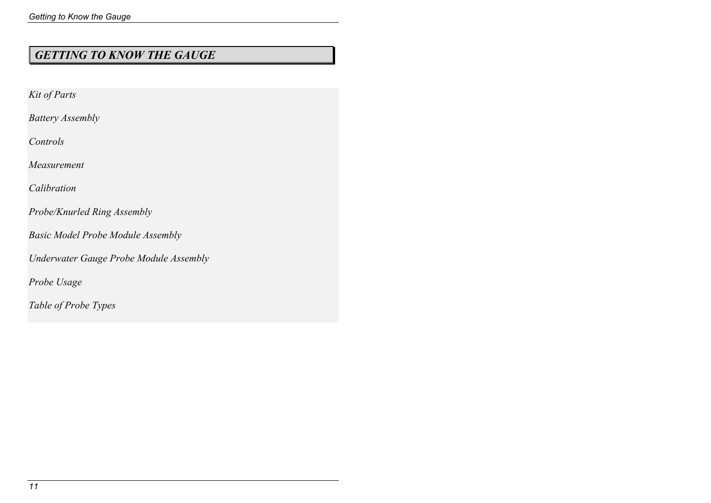# <span id="page-9-0"></span>*GETTING TO KNOW THE GAUGE*

*Kit of Parts*

*Battery Assembly*

*Controls*

*Measurement*

*Calibration*

*Probe/Knurled Ring Assembly*

*Basic Model Probe Module Assembly*

*Underwater Gauge Probe Module Assembly*

*Probe Usage*

*Table of Probe Types*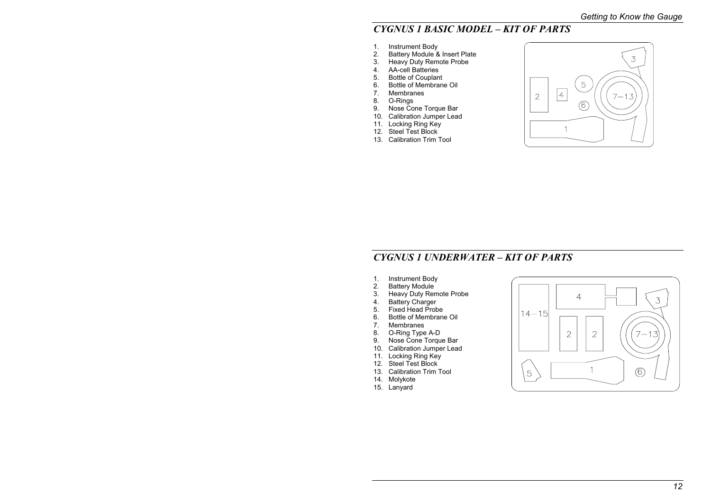# *CYGNUS 1 BASIC MODEL – KIT OF PARTS*

- <span id="page-10-0"></span>1. Instrument Body<br>2. Battery Module &
- 2. Battery Module & Insert Plate<br>3. Heavy Duty Remote Probe
- Heavy Duty Remote Probe
- 4. AA-cell Batteries
- 5. Bottle of Couplant
- 6. Bottle of Membrane Oil
- 7. Membranes
- 8. O-Rings
- 9. Nose Cone Torque Bar
- 10. Calibration Jumper Lead
- 
- 11. Locking Ring Key 12. Steel Test Block
- 13. Calibration Trim Tool



### *CYGNUS 1 UNDERWATER – KIT OF PARTS*

- 1. Instrument Body<br>2. Battery Module
- <span id="page-10-1"></span>**Battery Module**
- 3. Heavy Duty Remote Probe<br>4. Battery Charger
- 
- 4. Battery Charger 5. Fixed Head Probe
- 6. Bottle of Membrane Oil
- 7. Membranes
- 8. O-Ring Type A-D
- 9. Nose Cone Torque Bar
- 10. Calibration Jumper Lead
- 11. Locking Ring Key
- 12. Steel Test Block
- 13. Calibration Trim Tool
- 14. Molykote
- 15. Lanyard
- 

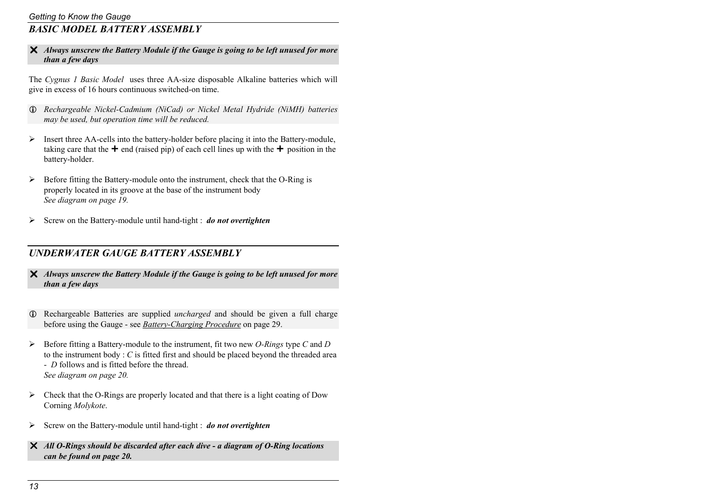### *Getting to Know the Gauge*

### <span id="page-11-0"></span>*BASIC MODEL BATTERY ASSEMBLY*

U *Always unscrew the Battery Module if the Gauge is going to be left unused for more than a few days*

The *Cygnus 1 Basic Model* uses three AA-size disposable Alkaline batteries which will give in excess of 16 hours continuous switched-on time.

- L *Rechargeable Nickel-Cadmium (NiCad) or Nickel Metal Hydride (NiMH) batteries may be used, but operation time will be reduced.*
- $\blacktriangleright$  Insert three AA-cells into the battery-holder before placing it into the Battery-module, taking care that the  $\pm$  end (raised pip) of each cell lines up with the  $\pm$  position in the battery-holder.
- $\blacktriangleright$  Before fitting the Battery-module onto the instrument, check that the O-Ring is properly located in its groove at the base of the instrument body *See diagram on page [19.](#page-17-0)*
- $\blacktriangleright$ Screw on the Battery-module until hand-tight : *do not overtighten*

### <span id="page-11-1"></span>*UNDERWATER GAUGE BATTERY ASSEMBLY*

- U *Always unscrew the Battery Module if the Gauge is going to be left unused for more than a few days*
- L Rechargeable Batteries are supplied *uncharged* and should be given a full charge before using the Gauge - see *Battery-Charging Procedure* on page [29.](#page-27-1)
- $\blacktriangleright$  Before fitting a Battery-module to the instrument, fit two new *O-Rings* type *C* and *D* to the instrument body : *C* is fitted first and should be placed beyond the threaded area - *D* follows and is fitted before the thread.*See diagram on page [20.](#page-18-0)*
- $\blacktriangleright$  Check that the O-Rings are properly located and that there is a light coating of Dow Corning *Molykote*.
- $\blacktriangleright$ Screw on the Battery-module until hand-tight : *do not overtighten*
- U *All O-Rings should be discarded after each dive a diagram of O-Ring locations can be found on page [20.](#page-18-0)*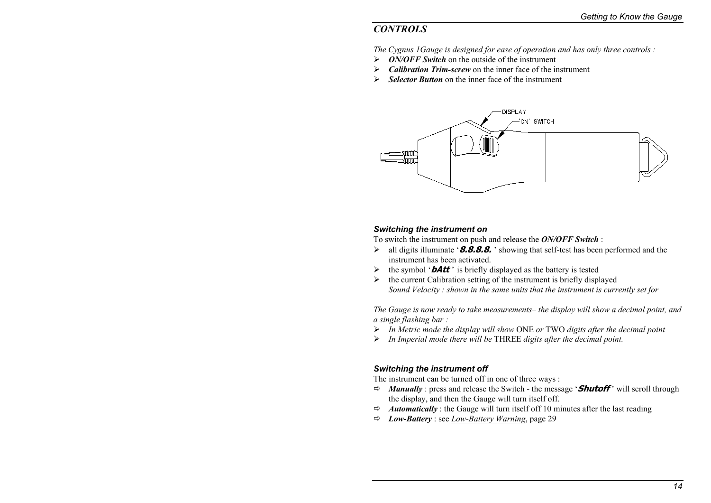# *CONTROLS*

*The Cygnus 1Gauge is designed for ease of operation and has only three controls :* 

- ¾ *ON/OFF Switch* on the outside of the instrument
- ¾ *Calibration Trim-screw* on the inner face of the instrument
- ¾ *Selector Button* on the inner face of the instrument

<span id="page-12-0"></span>

#### *Switching the instrument on*

To switch the instrument on push and release the *ON/OFF Switch* :

- ¾ all digits illuminate '**8.8.8.8.** ' showing that self-test has been performed and the instrument has been activated.
- $\triangleright$  the symbol '**bAtt'** is briefly displayed as the battery is tested
- $\triangleright$  the current Calibration setting of the instrument is briefly displayed *Sound Velocity : shown in the same units that the instrument is currently set for*

*The Gauge is now ready to take measurements– the display will show a decimal point, and a single flashing bar :*

- ¾ *In Metric mode the display will show* ONE *or* TWO *digits after the decimal point*
- ¾ *In Imperial mode there will be* THREE *digits after the decimal point.*

#### *Switching the instrument off*

The instrument can be turned off in one of three ways :

- Ö *Manually* : press and release the Switch the message '**Shutoff** ' will scroll through the display, and then the Gauge will turn itself off.
- $\Rightarrow$  *Automatically*: the Gauge will turn itself off 10 minutes after the last reading
- Ö *Low-Battery* : see *Low-Battery Warning*, page [29](#page-27-0)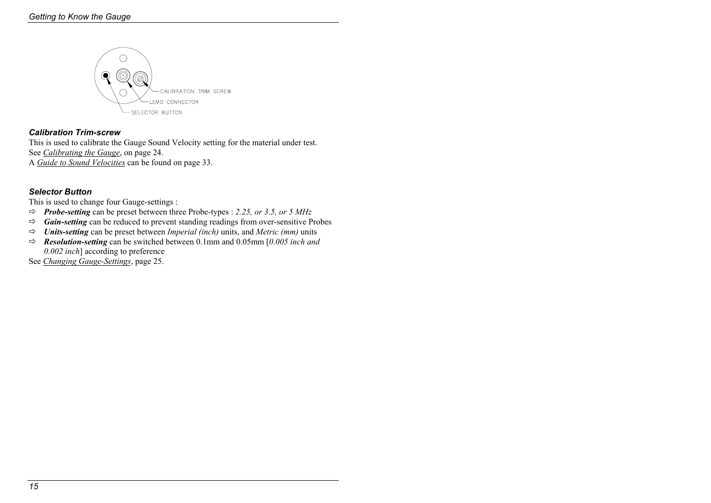

### *Calibration Trim-screw*

 This is used to calibrate the Gauge Sound Velocity setting for the material under test. See *Calibrating the Gauge*, on page [24.](#page-22-0) A *Guide to Sound Velocities* can be found on page [33.](#page-31-0)

### *Selector Button*

This is used to change four Gauge-settings :

- Ö *Probe-setting* can be preset between three Probe-types : *2.25, or 3.5, or 5 MHz*
- $\Rightarrow$  *Gain-setting* can be reduced to prevent standing readings from over-sensitive Probes
- Ö *Units-setting* can be preset between *Imperial (inch)* units, and *Metric (mm)* units
- Ö *Resolution-setting* can be switched between 0.1mm and 0.05mm [*0.005 inch and 0.002 inch*] according to preference

See *Changing Gauge-Settings*, page [25.](#page-23-0)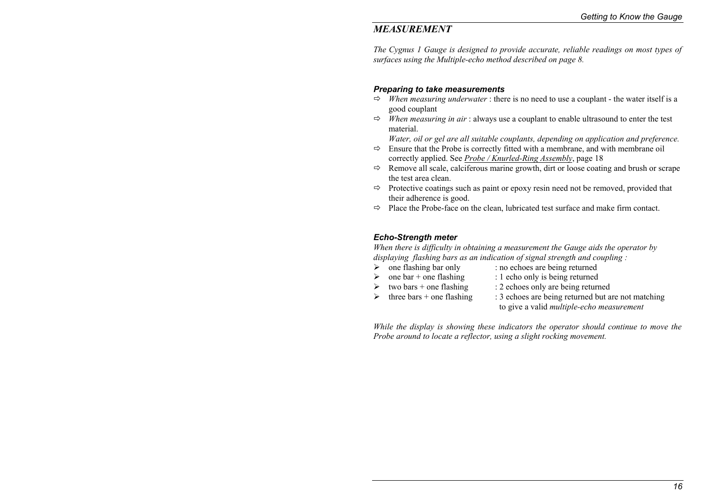### <span id="page-14-0"></span>*MEASUREMENT*

*The Cygnus 1 Gauge is designed to provide accurate, reliable readings on most types of surfaces using the Multiple-echo method described on page [8.](#page-6-0)* 

#### <span id="page-14-1"></span>*Preparing to take measurements*

- $\Rightarrow$  *When measuring underwater*: there is no need to use a couplant the water itself is a good couplant
- $\Rightarrow$  *When measuring in air* : always use a couplant to enable ultrasound to enter the test material.
	- *Water, oil or gel are all suitable couplants, depending on application and preference.*
- $\Rightarrow$  Ensure that the Probe is correctly fitted with a membrane, and with membrane oil correctly applied. See *Probe / Knurled-Ring Assembly*, page [18](#page-16-0)
- $\Rightarrow$  Remove all scale, calciferous marine growth, dirt or loose coating and brush or scrape the test area clean.
- $\Rightarrow$  Protective coatings such as paint or epoxy resin need not be removed, provided that their adherence is good.
- $\Rightarrow$  Place the Probe-face on the clean, lubricated test surface and make firm contact.

### *Echo-Strength meter*

*When there is difficulty in obtaining a measurement the Gauge aids the operator by displaying flashing bars as an indication of signal strength and coupling :*

- $\triangleright$  one flashing bar only
- : no echoes are being returned  $: 1$  echo only is being returned
- $\triangleright$  one bar + one flashing  $\triangleright$  two bars + one flashing
- $: 2$  echoes only are being returned
- $\triangleright$  three bars + one flashing
- $\therefore$  3 echoes are being returned but are not matching to give a valid *multiple-echo measurement*

*While the display is showing these indicators the operator should continue to move the Probe around to locate a reflector, using a slight rocking movement.*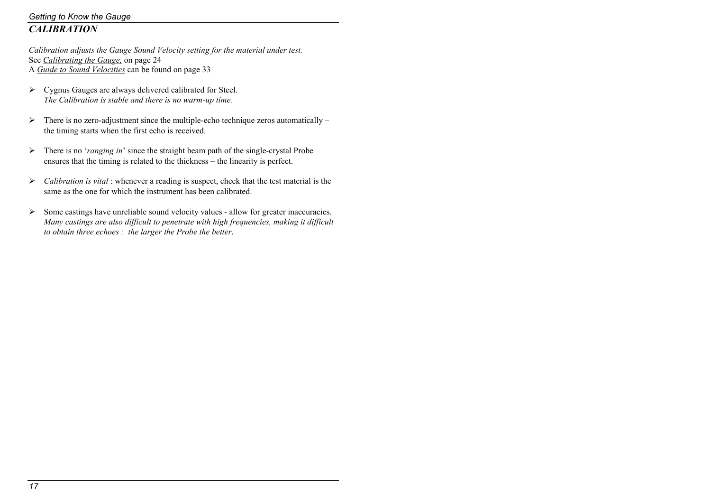### <span id="page-15-0"></span>*Getting to Know the Gauge CALIBRATION*

*Calibration adjusts the Gauge Sound Velocity setting for the material under test.*  See *Calibrating the Gauge,* on page [24](#page-22-0) A *Guide to Sound Velocities* can be found on page [33](#page-31-0)

- $\triangleright$  Cygnus Gauges are always delivered calibrated for Steel. *The Calibration is stable and there is no warm-up time.*
- $\blacktriangleright$  There is no zero-adjustment since the multiple-echo technique zeros automatically – the timing starts when the first echo is received.
- $\blacktriangleright$  There is no '*ranging in*' since the straight beam path of the single-crystal Probe ensures that the timing is related to the thickness – the linearity is perfect.
- ¾ *Calibration is vital* : whenever a reading is suspect, check that the test material is the same as the one for which the instrument has been calibrated.
- $\blacktriangleright$  Some castings have unreliable sound velocity values - allow for greater inaccuracies. *Many castings are also difficult to penetrate with high frequencies, making it difficult to obtain three echoes : the larger the Probe the better*.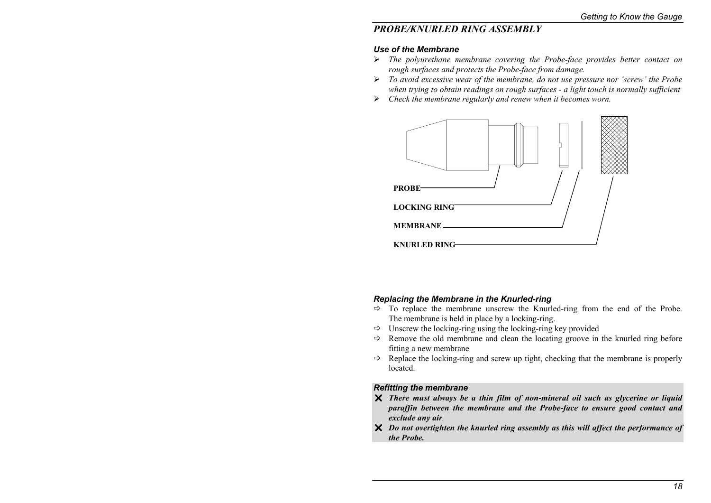### <span id="page-16-0"></span>*PROBE/KNURLED RING ASSEMBLY*

#### *Use of the Membrane*

- ¾ *The polyurethane membrane covering the Probe-face provides better contact on rough surfaces and protects the Probe-face from damage.*
- ¾ *To avoid excessive wear of the membrane, do not use pressure nor 'screw' the Probe when trying to obtain readings on rough surfaces - a light touch is normally sufficient*
- ¾ *Check the membrane regularly and renew when it becomes worn.*



#### *Replacing the Membrane in the Knurled-ring*

- $\Rightarrow$  To replace the membrane unscrew the Knurled-ring from the end of the Probe. The membrane is held in place by a locking-ring.
- $\Rightarrow$  Unscrew the locking-ring using the locking-ring key provided
- $\Rightarrow$  Remove the old membrane and clean the locating groove in the knurled ring before fitting a new membrane
- $\Rightarrow$  Replace the locking-ring and screw up tight, checking that the membrane is properly located.

#### *Refitting the membrane*

- U *There must always be a thin film of non-mineral oil such as glycerine or liquid paraffin between the membrane and the Probe-face to ensure good contact and exclude any air.*
- X *Do not overtighten the knurled ring assembly as this will affect the performance of the Probe.*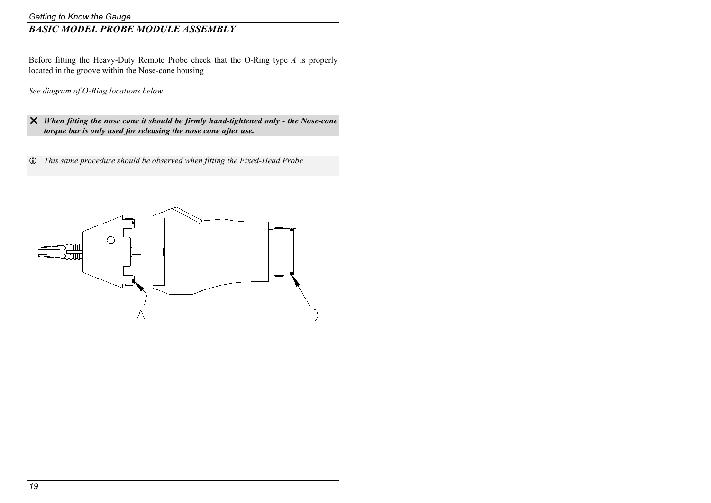### <span id="page-17-0"></span>*Getting to Know the Gauge BASIC MODEL PROBE MODULE ASSEMBLY*

Before fitting the Heavy-Duty Remote Probe check that the O-Ring type *A* is properly located in the groove within the Nose-cone housing

*See diagram of O-Ring locations below*

U *When fitting the nose cone it should be firmly hand-tightened only - the Nose-cone torque bar is only used for releasing the nose cone after use.*

L *This same procedure should be observed when fitting the Fixed-Head Probe*

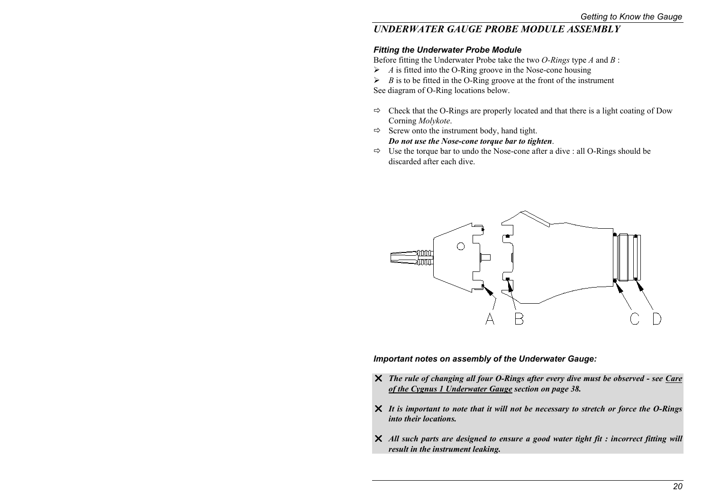# <span id="page-18-0"></span>*UNDERWATER GAUGE PROBE MODULE ASSEMBLY*

### *Fitting the Underwater Probe Module*

Before fitting the Underwater Probe take the two *O-Rings* type *A* and *B* :

- $\triangleright$  *A* is fitted into the O-Ring groove in the Nose-cone housing
- $\triangleright$  *B* is to be fitted in the O-Ring groove at the front of the instrument See diagram of O-Ring locations below.
- $\Rightarrow$  Check that the O-Rings are properly located and that there is a light coating of Dow Corning *Molykote*.
- $\Rightarrow$  Screw onto the instrument body, hand tight. *Do not use the Nose-cone torque bar to tighten*.
- $\Rightarrow$  Use the torque bar to undo the Nose-cone after a dive : all O-Rings should be discarded after each dive.



*Important notes on assembly of the Underwater Gauge:*

- U *The rule of changing all four O-Rings after every dive must be observed see Care of the Cygnus 1 Underwater Gauge section on page [38.](#page-36-0)*
- U *It is important to note that it will not be necessary to stretch or force the O-Rings into their locations.*
- U *All such parts are designed to ensure a good water tight fit : incorrect fitting will result in the instrument leaking.*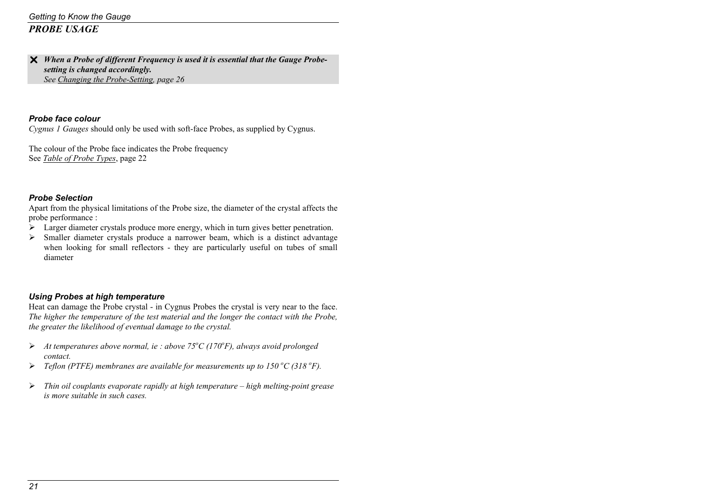### *Getting to Know the Gauge*

# <span id="page-19-0"></span>*PROBE USAGE*

X When a Probe of different Frequency is used it is essential that the Gauge Probe*setting is changed accordingly. See Changing the Probe-Setting, page [26](#page-24-0)*

#### *Probe face colour*

*Cygnus 1 Gauges* should only be used with soft-face Probes, as supplied by Cygnus.

The colour of the Probe face indicates the Probe frequency See *Table of Probe Types*, page [22](#page-20-0)

#### *Probe Selection*

Apart from the physical limitations of the Probe size, the diameter of the crystal affects the probe performance :

- $\triangleright$  Larger diameter crystals produce more energy, which in turn gives better penetration.
- $\triangleright$  Smaller diameter crystals produce a narrower beam, which is a distinct advantage when looking for small reflectors - they are particularly useful on tubes of small diameter

### *Using Probes at high temperature*

Heat can damage the Probe crystal - in Cygnus Probes the crystal is very near to the face. *The higher the temperature of the test material and the longer the contact with the Probe, the greater the likelihood of eventual damage to the crystal.*

- $\triangleright$  *At temperatures above normal, ie : above 75<sup>o</sup>C (170<sup>o</sup>F), always avoid prolonged contact.*
- $\triangleright$  *Teflon (PTFE) membranes are available for measurements up to 150 °C (318 °F).*
- $\blacktriangleright$  *Thin oil couplants evaporate rapidly at high temperature – high melting-point grease is more suitable in such cases.*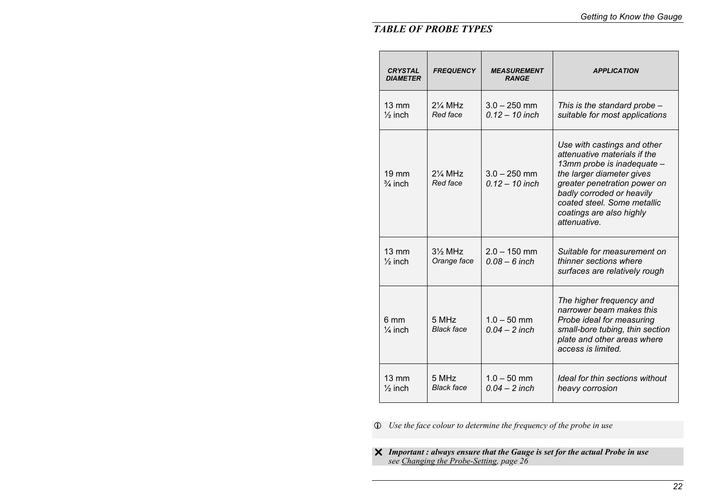# <span id="page-20-0"></span>*TABLE OF PROBE TYPES*

| <b>CRYSTAL</b><br><b>DIAMETER</b>     | <b>FREQUENCY</b>                  | <b>MEASUREMENT</b><br><b>RANGE</b> | <b>APPLICATION</b>                                                                                                                                                                                                                                             |
|---------------------------------------|-----------------------------------|------------------------------------|----------------------------------------------------------------------------------------------------------------------------------------------------------------------------------------------------------------------------------------------------------------|
| $13 \text{ mm}$<br>$\frac{1}{2}$ inch | $2\%$ MHz<br>Red face             | $3.0 - 250$ mm<br>$0.12 - 10$ inch | This is the standard probe -<br>suitable for most applications                                                                                                                                                                                                 |
| $19 \text{ mm}$<br>$\frac{3}{4}$ inch | $2\%$ MHz<br>Red face             | $3.0 - 250$ mm<br>$0.12 - 10$ inch | Use with castings and other<br>attenuative materials if the<br>13mm probe is inadequate -<br>the larger diameter gives<br>greater penetration power on<br>badly corroded or heavily<br>coated steel. Some metallic<br>coatings are also highly<br>attenuative. |
| $13 \text{ mm}$<br>$\frac{1}{2}$ inch | $3\frac{1}{2}$ MHz<br>Orange face | $2.0 - 150$ mm<br>$0.08 - 6$ inch  | Suitable for measurement on<br>thinner sections where<br>surfaces are relatively rough                                                                                                                                                                         |
| $6 \text{ mm}$<br>$\frac{1}{4}$ inch  | 5 MHz<br><b>Black face</b>        | $1.0 - 50$ mm<br>$0.04 - 2$ inch   | The higher frequency and<br>narrower beam makes this<br>Probe ideal for measuring<br>small-bore tubing, thin section<br>plate and other areas where<br>access is limited.                                                                                      |
| $13 \text{ mm}$<br>$\frac{1}{2}$ inch | 5 MHz<br><b>Black face</b>        | $1.0 - 50$ mm<br>$0.04 - 2$ inch   | Ideal for thin sections without<br>heavy corrosion                                                                                                                                                                                                             |

L *Use the face colour to determine the frequency of the probe in use*

U *Important : always ensure that the Gauge is set for the actual Probe in use see Changing the Probe-Setting, page [26](#page-24-0)*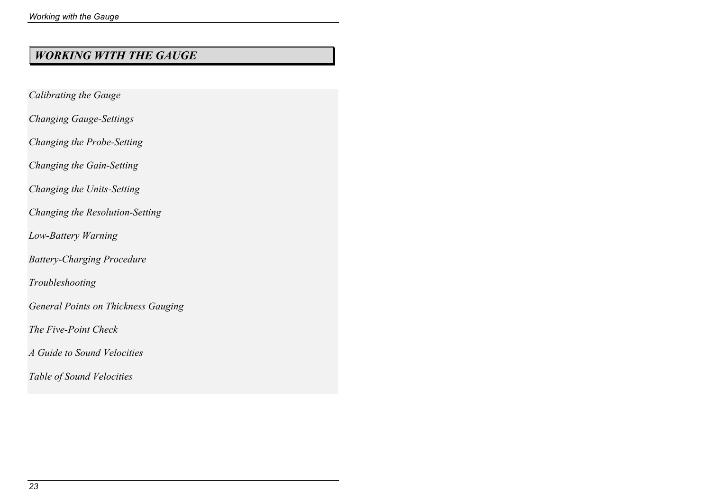# <span id="page-21-0"></span>*WORKING WITH THE GAUGE*

*Calibrating the Gauge*

*Changing Gauge-Settings*

*Changing the Probe-Setting*

*Changing the Gain-Setting*

*Changing the Units-Setting*

*Changing the Resolution-Setting*

*Low-Battery Warning*

*Battery-Charging Procedure*

*Troubleshooting*

*General Points on Thickness Gauging*

*The Five-Point Check*

*A Guide to Sound Velocities*

*Table of Sound Velocities*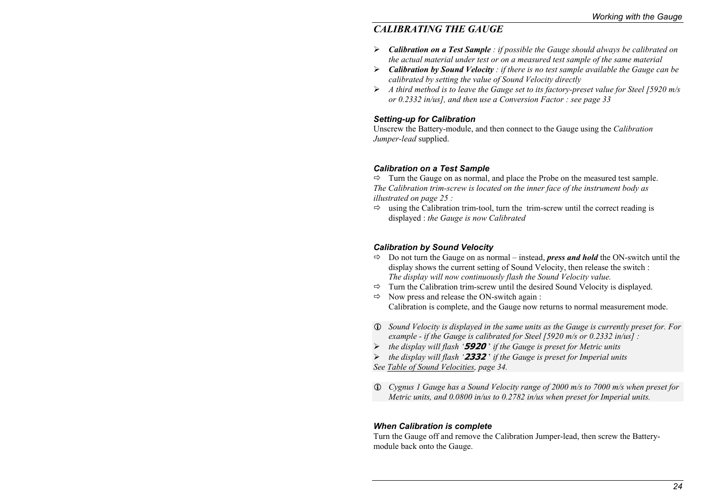# <span id="page-22-0"></span>*CALIBRATING THE GAUGE*

- ¾ *Calibration on a Test Sample : if possible the Gauge should always be calibrated on the actual material under test or on a measured test sample of the same material*
- ¾ *Calibration by Sound Velocity : if there is no test sample available the Gauge can be calibrated by setting the value of Sound Velocity directly*
- ¾ *A third method is to leave the Gauge set to its factory-preset value for Steel [5920 m/s or 0.2332 in/us], and then use a Conversion Factor : see page [33](#page-31-0)*

#### *Setting-up for Calibration*

Unscrew the Battery-module, and then connect to the Gauge using the *Calibration Jumper-lead* supplied.

#### *Calibration on a Test Sample*

 $\Rightarrow$  Turn the Gauge on as normal, and place the Probe on the measured test sample. *The Calibration trim-screw is located on the inner face of the instrument body as illustrated on page [25 :](#page-23-0)* 

 $\Rightarrow$  using the Calibration trim-tool, turn the trim-screw until the correct reading is displayed : *the Gauge is now Calibrated*

### *Calibration by Sound Velocity*

- $\Rightarrow$  Do not turn the Gauge on as normal instead, *press and hold* the ON-switch until the display shows the current setting of Sound Velocity, then release the switch : *The display will now continuously flash the Sound Velocity value.*
- $\Rightarrow$  Turn the Calibration trim-screw until the desired Sound Velocity is displayed.
- $\Rightarrow$  Now press and release the ON-switch again : Calibration is complete, and the Gauge now returns to normal measurement mode.
- L *Sound Velocity is displayed in the same units as the Gauge is currently preset for. For example - if the Gauge is calibrated for Steel [5920 m/s or 0.2332 in/us] :*
- ¾ *the display will flash '***5920** ' *if the Gauge is preset for Metric units*
- ¾ *the display will flash '***2332** ' *if the Gauge is preset for Imperial units*
- *See Table of Sound Velocities, page [34.](#page-32-0)*
- L *Cygnus 1 Gauge has a Sound Velocity range of 2000 m/s to 7000 m/s when preset for Metric units, and 0.0800 in/us to 0.2782 in/us when preset for Imperial units.*

### *When Calibration is complete*

Turn the Gauge off and remove the Calibration Jumper-lead, then screw the Batterymodule back onto the Gauge.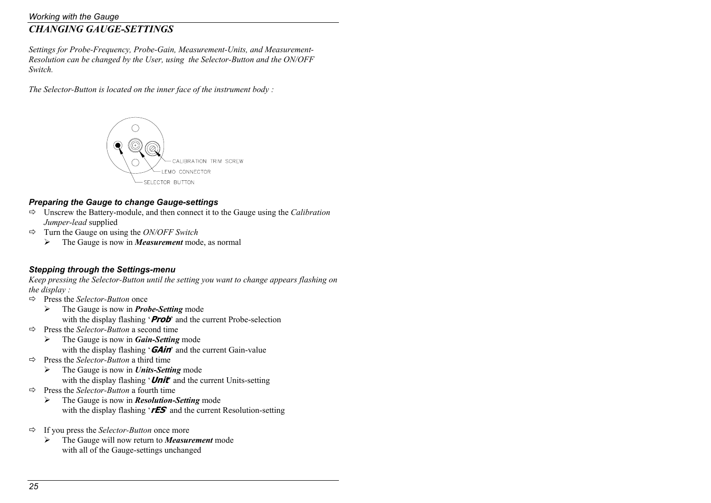#### *Working with the Gauge*

# <span id="page-23-0"></span>*CHANGING GAUGE-SETTINGS*

*Settings for Probe-Frequency, Probe-Gain, Measurement-Units, and Measurement-Resolution can be changed by the User, using the Selector-Button and the ON/OFF Switch.*

*The Selector-Button is located on the inner face of the instrument body :*



### *Preparing the Gauge to change Gauge-settings*

- Ö Unscrew the Battery-module, and then connect it to the Gauge using the *Calibration Jumper-lead* supplied
- Ö Turn the Gauge on using the *ON/OFF Switch*
	- $\blacktriangleright$ The Gauge is now in *Measurement* mode, as normal

### *Stepping through the Settings-menu*

*Keep pressing the Selector-Button until the setting you want to change appears flashing on the display :*

- Ö Press the *Selector-Button* once
	- $\blacktriangleright$  The Gauge is now in *Probe-Setting* mode with the display flashing '**Prob**' and the current Probe-selection
- Ö Press the *Selector-Button* a second time
	- $\blacktriangleright$  The Gauge is now in *Gain-Setting* mode with the display flashing '**GAin'** and the current Gain-value
- Ö Press the *Selector-Button* a third time
	- $\blacktriangleright$  The Gauge is now in *Units-Setting* mode with the display flashing '**Unit'** and the current Units-setting
- Ö Press the *Selector-Button* a fourth time
	- $\blacktriangleright$  The Gauge is now in *Resolution-Setting* mode with the display flashing '**rES**' and the current Resolution-setting
- Ö If you press the *Selector-Button* once more
	- $\blacktriangleright$  The Gauge will now return to *Measurement* mode with all of the Gauge-settings unchanged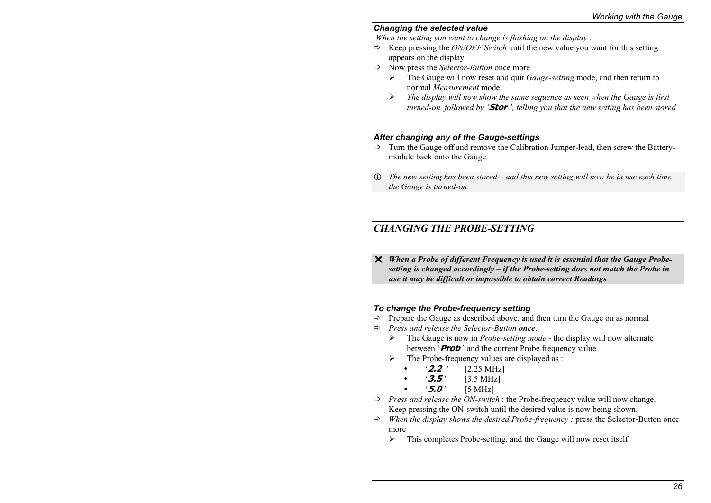#### *Changing the selected value*

 *When the setting you want to change is flashing on the display :*

- $\Rightarrow$  Keep pressing the *ON/OFF Switch* until the new value you want for this setting appears on the display
- Ö Now press the *Selector-Button* once more
	- ¾ The Gauge will now reset and quit *Gauge-setting* mode, and then return to normal *Measurement* mode
	- ¾ *The display will now show the same sequence as seen when the Gauge is first turned-on, followed by '***Stor** *', telling you that the new setting has been stored*

#### *After changing any of the Gauge-settings*

- $\Rightarrow$  Turn the Gauge off and remove the Calibration Jumper-lead, then screw the Batterymodule back onto the Gauge.
- L *The new setting has been stored and this new setting will now be in use each time the Gauge is turned-on*

### <span id="page-24-0"></span>*CHANGING THE PROBE-SETTING*

X When a Probe of different Frequency is used it is essential that the Gauge Probe*setting is changed accordingly – if the Probe-setting does not match the Probe in use it may be difficult or impossible to obtain correct Readings* 

### *To change the Probe-frequency setting*

- $\Rightarrow$  Prepare the Gauge as described above, and then turn the Gauge on as normal
- Ö *Press and release the Selector-Button once*.
	- ¾ The Gauge is now in *Probe-setting mode* the display will now alternate between '**Prob** ' and the current Probe frequency value
	- $\triangleright$  The Probe-frequency values are displayed as :
		- $\angle$ **2.2**  $\angle$  [2.25 MHz]
		- $\bullet$  $\mathbf{3.5}$  [3.5 MHz]

 $\bullet$ 

 $\bullet$ 

- $\mathbf{F} \cdot \mathbf{5.0}$  [5 MHz]
- $\Rightarrow$  *Press and release the ON-switch* : the Probe-frequency value will now change. Keep pressing the ON-switch until the desired value is now being shown.
- Ö *When the display shows the desired Probe-frequency :* press the Selector-Button once more
	- $\triangleright$  This completes Probe-setting, and the Gauge will now reset itself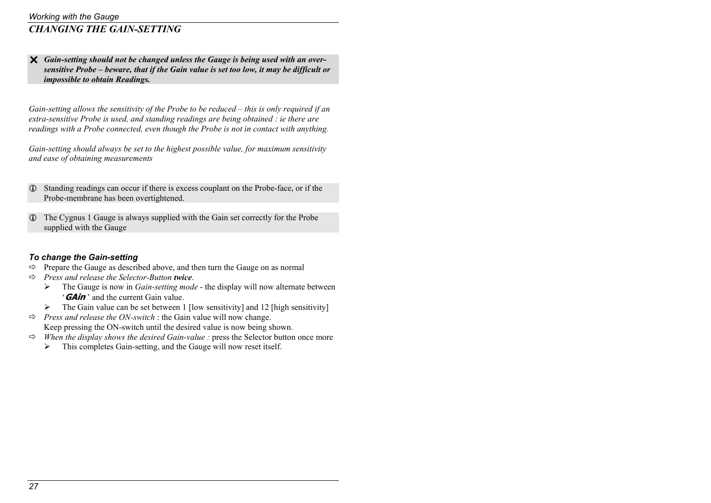#### *Working with the Gauge*

# <span id="page-25-0"></span>*CHANGING THE GAIN-SETTING*

#### X Gain-setting should not be changed unless the Gauge is being used with an over*sensitive Probe – beware, that if the Gain value is set too low, it may be difficult or impossible to obtain Readings.*

*Gain-setting allows the sensitivity of the Probe to be reduced – this is only required if an extra-sensitive Probe is used, and standing readings are being obtained : ie there are readings with a Probe connected, even though the Probe is not in contact with anything.*

*Gain-setting should always be set to the highest possible value, for maximum sensitivity and ease of obtaining measurements* 

- L Standing readings can occur if there is excess couplant on the Probe-face, or if the Probe-membrane has been overtightened.
- L The Cygnus 1 Gauge is always supplied with the Gain set correctly for the Probe supplied with the Gauge

### *To change the Gain-setting*

- $\Rightarrow$  Prepare the Gauge as described above, and then turn the Gauge on as normal
- Ö *Press and release the Selector-Button twice*.
	- ¾ The Gauge is now in *Gain-setting mode* the display will now alternate between *GAIn* and the current Gain value.
	- $\triangleright$  The Gain value can be set between 1 [low sensitivity] and 12 [high sensitivity]
- $\Rightarrow$  *Press and release the ON-switch* : the Gain value will now change. Keep pressing the ON-switch until the desired value is now being shown.
- Ö *When the display shows the desired Gain-value :* press the Selector button once more
	- ¾ This completes Gain-setting, and the Gauge will now reset itself.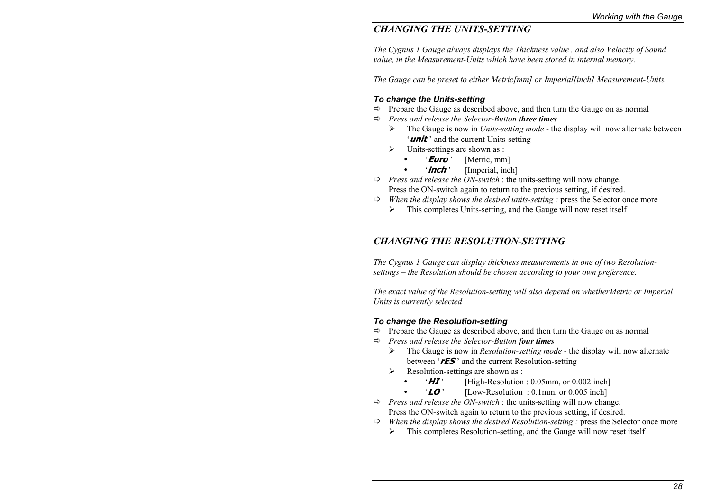### <span id="page-26-0"></span>*CHANGING THE UNITS-SETTING*

*The Cygnus 1 Gauge always displays the Thickness value , and also Velocity of Sound value, in the Measurement-Units which have been stored in internal memory.*

*The Gauge can be preset to either Metric[mm] or Imperial[inch] Measurement-Units.*

#### *To change the Units-setting*

 $\bullet$ 

 $\bullet$ 

 $\bullet$ 

 $\bullet$ 

- $\Rightarrow$  Prepare the Gauge as described above, and then turn the Gauge on as normal
- Ö *Press and release the Selector-Button three times*
	- ¾ The Gauge is now in *Units-setting mode* the display will now alternate between '**unit** ' and the current Units-setting
	- $\triangleright$  Units-settings are shown as :
		- '**Euro** ' [Metric, mm]
		- '*inch*' [Imperial, inch]
- $\Rightarrow$  *Press and release the ON-switch* : the units-setting will now change. Press the ON-switch again to return to the previous setting, if desired.
- Ö *When the display shows the desired units-setting :* press the Selector once more
	- $\triangleright$  This completes Units-setting, and the Gauge will now reset itself

### <span id="page-26-1"></span>*CHANGING THE RESOLUTION-SETTING*

*The Cygnus 1 Gauge can display thickness measurements in one of two Resolutionsettings – the Resolution should be chosen according to your own preference.*

*The exact value of the Resolution-setting will also depend on whetherMetric or Imperial Units is currently selected*

#### *To change the Resolution-setting*

- $\Rightarrow$  Prepare the Gauge as described above, and then turn the Gauge on as normal
- Ö *Press and release the Selector-Button four times*
	- ¾ The Gauge is now in *Resolution-setting mode* the display will now alternate between '**rES** ' and the current Resolution-setting
	- $\blacktriangleright$  Resolution-settings are shown as :
		- $HI'$  [High-Resolution : 0.05mm, or 0.002 inch]
		- '**LO** ' [Low-Resolution : 0.1mm, or 0.005 inch]
- $\Rightarrow$  *Press and release the ON-switch* : the units-setting will now change. Press the ON-switch again to return to the previous setting, if desired.
- Ö *When the display shows the desired Resolution-setting :* press the Selector once more
	- ¾ This completes Resolution-setting, and the Gauge will now reset itself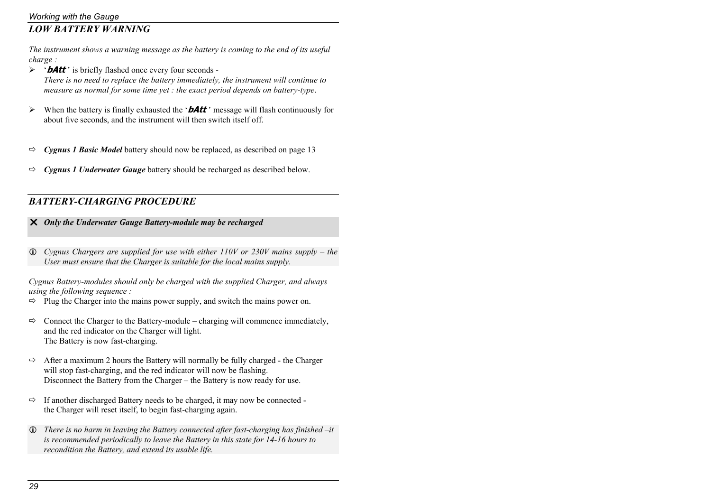#### *Working with the Gauge*

# <span id="page-27-0"></span>*LOW BATTERY WARNING*

*The instrument shows a warning message as the battery is coming to the end of its useful charge :*

- ¾ '**bAtt** ' is briefly flashed once every four seconds *There is no need to replace the battery immediately, the instrument will continue to measure as normal for some time yet : the exact period depends on battery-type*.
- $\blacktriangleright$ When the battery is finally exhausted the '**bAtt**' message will flash continuously for about five seconds, and the instrument will then switch itself off.
- $\Rightarrow$ *Cygnus 1 Basic Model* battery should now be replaced, as described on page [13](#page-11-0)
- $\Rightarrow$ *Cygnus 1 Underwater Gauge* battery should be recharged as described below.

# <span id="page-27-1"></span>*BATTERY-CHARGING PROCEDURE*

### U *Only the Underwater Gauge Battery-module may be recharged*

L *Cygnus Chargers are supplied for use with either 110V or 230V mains supply – the User must ensure that the Charger is suitable for the local mains supply.*

*Cygnus Battery-modules should only be charged with the supplied Charger, and always using the following sequence :*

- $\Rightarrow$  Plug the Charger into the mains power supply, and switch the mains power on.
- $\Rightarrow$  Connect the Charger to the Battery-module – charging will commence immediately, and the red indicator on the Charger will light. The Battery is now fast-charging.
- $\Rightarrow$  After a maximum 2 hours the Battery will normally be fully charged - the Charger will stop fast-charging, and the red indicator will now be flashing. Disconnect the Battery from the Charger – the Battery is now ready for use.
- $\Rightarrow$  If another discharged Battery needs to be charged, it may now be connected the Charger will reset itself, to begin fast-charging again.
- L *There is no harm in leaving the Battery connected after fast-charging has finished –it is recommended periodically to leave the Battery in this state for 14-16 hours to recondition the Battery, and extend its usable life.*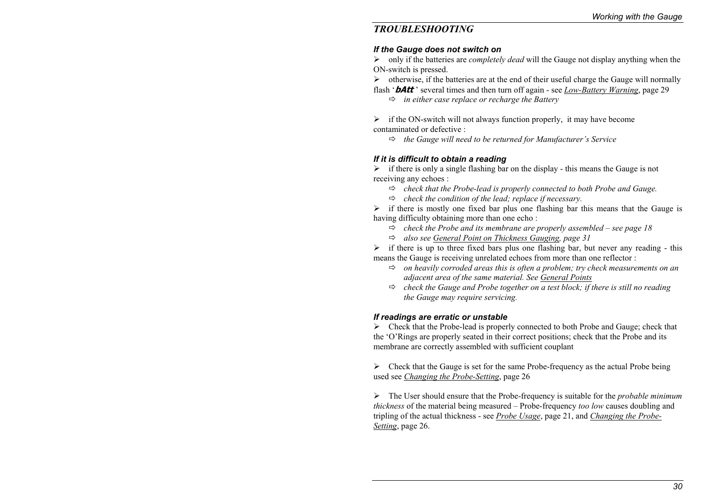### <span id="page-28-0"></span>*TROUBLESHOOTING*

### *If the Gauge does not switch on*

¾ only if the batteries are *completely dead* will the Gauge not display anything when the ON-switch is pressed.

 $\triangleright$  otherwise, if the batteries are at the end of their useful charge the Gauge will normally

flash '**bAtt** ' several times and then turn off again - see *Low-Battery Warning*, page [29](#page-27-0)

Ö *in either case replace or recharge the Battery*

 $\triangleright$  if the ON-switch will not always function properly, it may have become contaminated or defective :

Ö *the Gauge will need to be returned for Manufacturer's Service*

### *If it is difficult to obtain a reading*

 $\triangleright$  if there is only a single flashing bar on the display - this means the Gauge is not receiving any echoes :

- Ö *check that the Probe-lead is properly connected to both Probe and Gauge.*
- Ö *check the condition of the lead; replace if necessary.*

 $\triangleright$  if there is mostly one fixed bar plus one flashing bar this means that the Gauge is having difficulty obtaining more than one echo :

- Ö *check the Probe and its membrane are properly assembled see page [18](#page-16-0)*
- Ö *also see General Point on Thickness Gauging, page [31](#page-29-0)*

 $\triangleright$  if there is up to three fixed bars plus one flashing bar, but never any reading - this means the Gauge is receiving unrelated echoes from more than one reflector :

- $\Rightarrow$  on heavily corroded areas this is often a problem; try check measurements on an *adjacent area of the same material. See General Points*
- $\Rightarrow$  check the Gauge and Probe together on a test block; if there is still no reading *the Gauge may require servicing.*

### *If readings are erratic or unstable*

 $\triangleright$  Check that the Probe-lead is properly connected to both Probe and Gauge; check that the 'O'Rings are properly seated in their correct positions; check that the Probe and its membrane are correctly assembled with sufficient couplant

 $\triangleright$  Check that the Gauge is set for the same Probe-frequency as the actual Probe being used see *Changing the Probe-Setting*, page [26](#page-24-0)

¾ The User should ensure that the Probe-frequency is suitable for the *probable minimum thickness* of the material being measured – Probe-frequency *too low* causes doubling and tripling of the actual thickness - see *Probe Usage*, page [21,](#page-19-0) and *Changing the Probe-Setting*, page [26.](#page-24-0)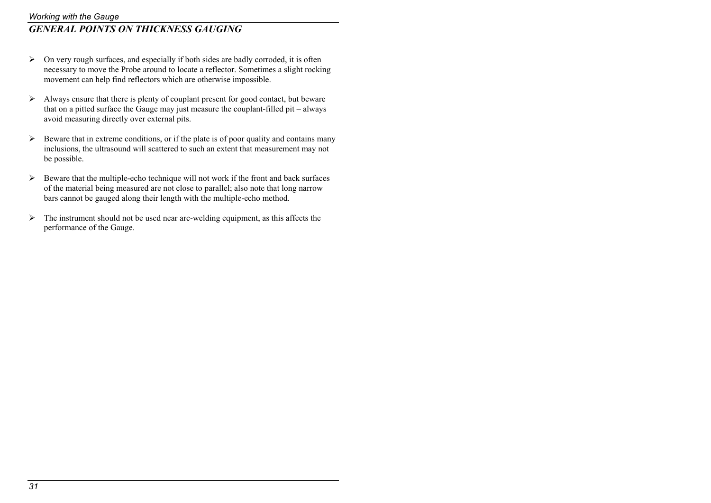#### *Working with the Gauge*

# <span id="page-29-0"></span>*GENERAL POINTS ON THICKNESS GAUGING*

- $\blacktriangleright$  On very rough surfaces, and especially if both sides are badly corroded, it is often necessary to move the Probe around to locate a reflector. Sometimes a slight rocking movement can help find reflectors which are otherwise impossible.
- $\blacktriangleright$  Always ensure that there is plenty of couplant present for good contact, but beware that on a pitted surface the Gauge may just measure the couplant-filled pit – always avoid measuring directly over external pits.
- $\blacktriangleright$  Beware that in extreme conditions, or if the plate is of poor quality and contains many inclusions, the ultrasound will scattered to such an extent that measurement may not be possible.
- $\triangleright$  Beware that the multiple-echo technique will not work if the front and back surfaces of the material being measured are not close to parallel; also note that long narrow bars cannot be gauged along their length with the multiple-echo method.
- $\blacktriangleright$  The instrument should not be used near arc-welding equipment, as this affects the performance of the Gauge.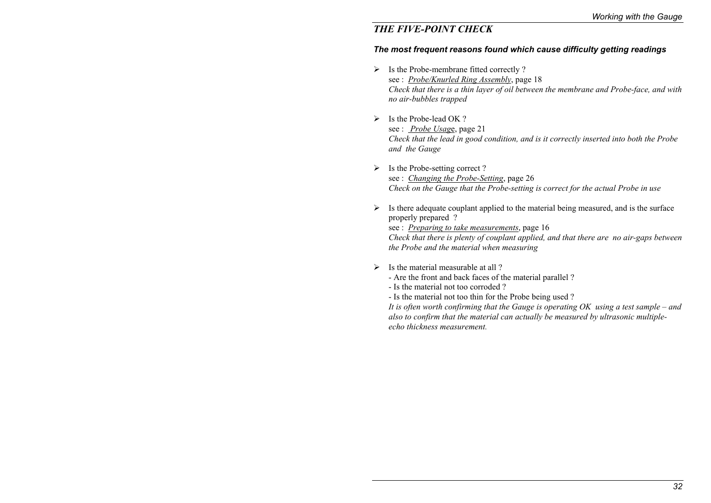### *THE FIVE-POINT CHECK*

#### *The most frequent reasons found which cause difficulty getting readings*

- $\triangleright$  Is the Probe-membrane fitted correctly ? see : *Probe/Knurled Ring Assembly*, page [18](#page-16-0) *Check that there is a thin layer of oil between the membrane and Probe-face, and with no air-bubbles trapped*
- $\triangleright$  Is the Probe-lead OK ?

see : *Probe Usag*e, page [21](#page-19-0) *Check that the lead in good condition, and is it correctly inserted into both the Probe and the Gauge*

 $\triangleright$  Is the Probe-setting correct?

see : *Changing the Probe-Setting*, page [26](#page-24-0) *Check on the Gauge that the Probe-setting is correct for the actual Probe in use*

- $\triangleright$  Is there adequate couplant applied to the material being measured, and is the surface properly prepared ? see : *Preparing to take measurements*, page [16](#page-14-1) *Check that there is plenty of couplant applied, and that there are no air-gaps between the Probe and the material when measuring*
- <span id="page-30-0"></span> $\triangleright$  Is the material measurable at all ?
	- Are the front and back faces of the material parallel ?
	- Is the material not too corroded ?
	- Is the material not too thin for the Probe being used ?

*It is often worth confirming that the Gauge is operating OK using a test sample – and also to confirm that the material can actually be measured by ultrasonic multipleecho thickness measurement.*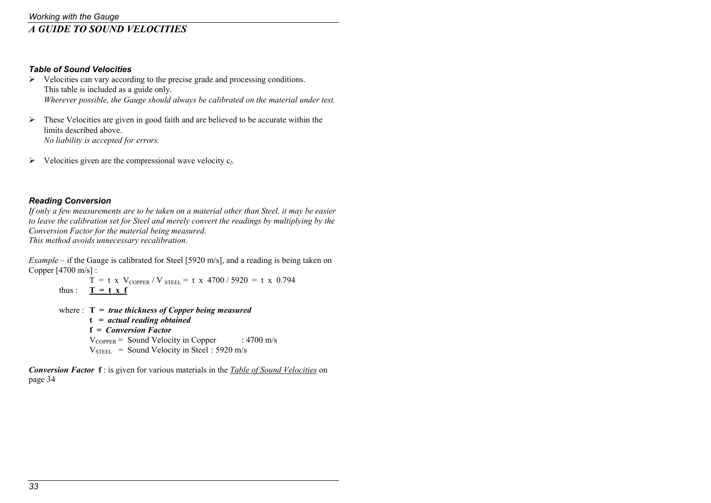#### *Working with the Gauge*

### <span id="page-31-0"></span>*A GUIDE TO SOUND VELOCITIES*

#### *Table of Sound Velocities*

- $\triangleright$  Velocities can vary according to the precise grade and processing conditions. This table is included as a guide only. *Wherever possible, the Gauge should always be calibrated on the material under test.*
- $\blacktriangleright$  These Velocities are given in good faith and are believed to be accurate within the limits described above. *No liability is accepted for errors.*
- ¾ Velocities given are the compressional wave velocity c*<sup>l</sup>*.

#### *Reading Conversion*

*If only a few measurements are to be taken on a material other than Steel, it may be easier to leave the calibration set for Steel and merely convert the readings by multiplying by the Conversion Factor for the material being measured. This method avoids unnecessary recalibration.*

*Example* – if the Gauge is calibrated for Steel [5920 m/s], and a reading is being taken on Copper [4700 m/s] :

 $T = t$  x  $V_{COPPER} / V_{STEEL} = t$  x 4700 / 5920 = t x 0.794 thus :  $T = t x f$ 

 where : **T =** *true thickness of Copper being measured* **t =** *actual reading obtained*  **f =** *Conversion Factor* $V_{\text{COPPER}}$  = Sound Velocity in Copper : 4700 m/s  $V_{\text{STEEL}}$  = Sound Velocity in Steel : 5920 m/s

*Conversion Factor* **f** : is given for various materials in the *Table of Sound Velocities* on page [34](#page-32-0)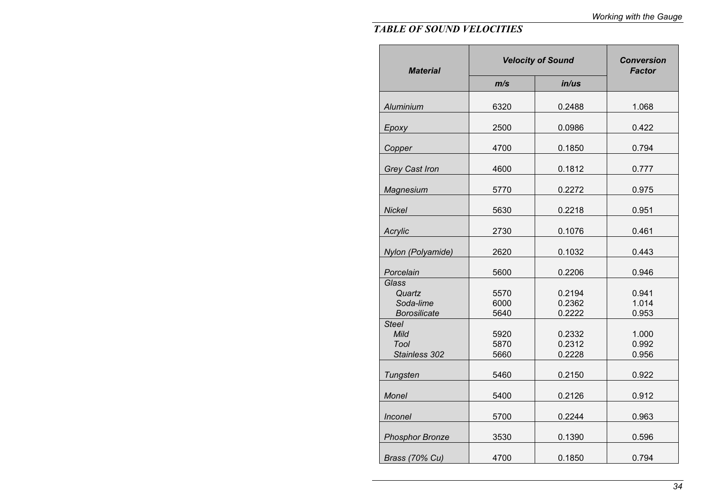### <span id="page-32-0"></span>*TABLE OF SOUND VELOCITIES*

| <b>Material</b>                                     | <b>Velocity of Sound</b> | <b>Conversion</b><br><b>Factor</b> |                         |
|-----------------------------------------------------|--------------------------|------------------------------------|-------------------------|
|                                                     | m/s                      | $in$ /us                           |                         |
| Aluminium                                           | 6320                     | 0.2488                             | 1.068                   |
| Epoxy                                               | 2500                     | 0.0986                             | 0.422                   |
| Copper                                              | 4700                     | 0.1850                             | 0.794                   |
| <b>Grey Cast Iron</b>                               | 4600                     | 0.1812                             | 0.777                   |
| Magnesium                                           | 5770                     | 0.2272                             | 0.975                   |
| <b>Nickel</b>                                       | 5630                     | 0.2218                             | 0.951                   |
| Acrylic                                             | 2730                     | 0.1076                             | 0.461                   |
| Nylon (Polyamide)                                   | 2620                     | 0.1032                             | 0.443                   |
| Porcelain                                           | 5600                     | 0.2206                             | 0.946                   |
| Glass<br>Quartz<br>Soda-lime<br><b>Borosilicate</b> | 5570<br>6000<br>5640     | 0.2194<br>0.2362<br>0.2222         | 0.941<br>1.014<br>0.953 |
| <b>Steel</b><br>Mild<br>Tool<br>Stainless 302       | 5920<br>5870<br>5660     | 0.2332<br>0.2312<br>0.2228         | 1.000<br>0.992<br>0.956 |
| Tungsten                                            | 5460                     | 0.2150                             | 0.922                   |
| <b>Monel</b>                                        | 5400                     | 0.2126                             | 0.912                   |
| <i><u><b>Inconel</b></u></i>                        | 5700                     | 0.2244                             | 0.963                   |
| <b>Phosphor Bronze</b>                              | 3530                     | 0.1390                             | 0.596                   |
| <b>Brass (70% Cu)</b>                               | 4700                     | 0.1850                             | 0.794                   |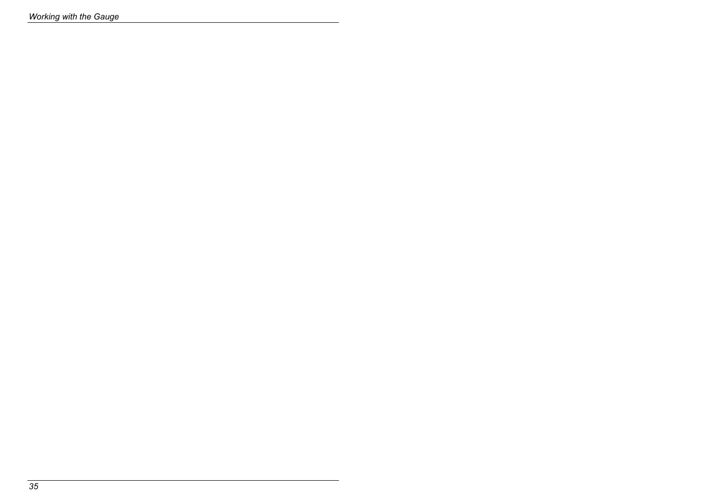*Working with the Gauge*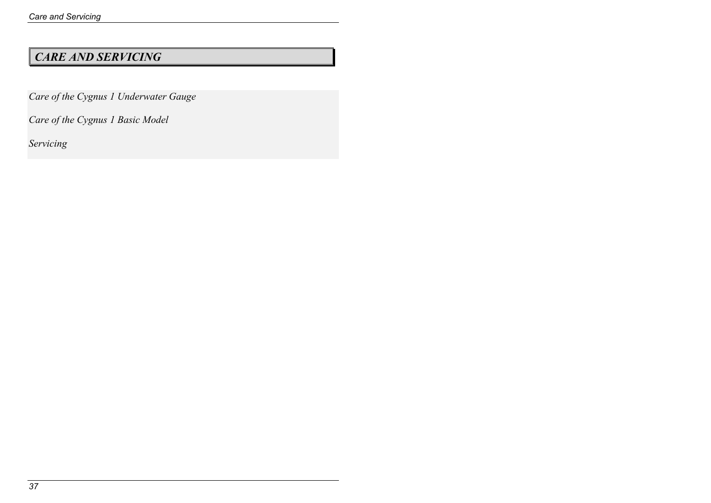# <span id="page-35-0"></span>*CARE AND SERVICING*

*Care of the Cygnus 1 Underwater Gauge*

*Care of the Cygnus 1 Basic Model*

*Servicing*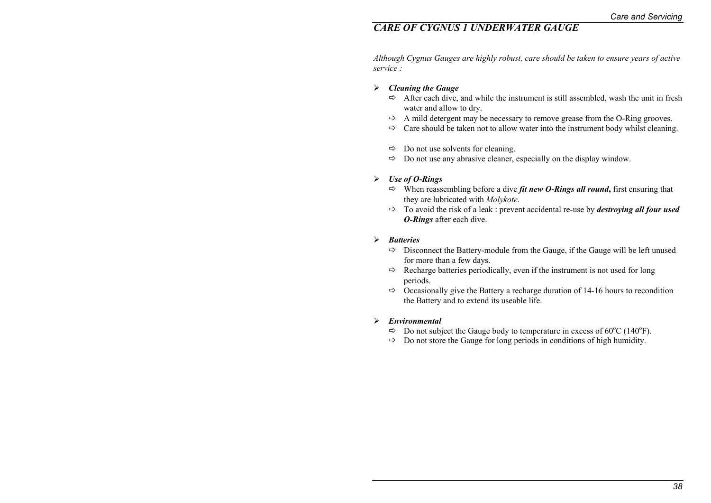# <span id="page-36-0"></span>*CARE OF CYGNUS 1 UNDERWATER GAUGE*

*Although Cygnus Gauges are highly robust, care should be taken to ensure years of active service :*

#### ¾ *Cleaning the Gauge*

- $\Rightarrow$  After each dive, and while the instrument is still assembled, wash the unit in fresh water and allow to dry.
- $\Rightarrow$  A mild detergent may be necessary to remove grease from the O-Ring grooves.
- $\Rightarrow$  Care should be taken not to allow water into the instrument body whilst cleaning.
- $\Rightarrow$  Do not use solvents for cleaning.
- $\Rightarrow$ Do not use any abrasive cleaner, especially on the display window.

#### ¾ *Use of O-Rings*

- Ö When reassembling before a dive *fit new O-Rings all round***,** first ensuring that they are lubricated with *Molykote*.
- $\Rightarrow$  To avoid the risk of a leak : prevent accidental re-use by *destroying all four used O-Rings* after each dive.

#### ¾ *Batteries*

- $\Rightarrow$  Disconnect the Battery-module from the Gauge, if the Gauge will be left unused for more than a few days.
- $\Rightarrow$  Recharge batteries periodically, even if the instrument is not used for long periods.
- $\Rightarrow$  Occasionally give the Battery a recharge duration of 14-16 hours to recondition the Battery and to extend its useable life.

#### ¾ *Environmental*

- $\Rightarrow$  Do not subject the Gauge body to temperature in excess of 60<sup>o</sup>C (140<sup>o</sup>F).
- $\Rightarrow$  Do not store the Gauge for long periods in conditions of high humidity.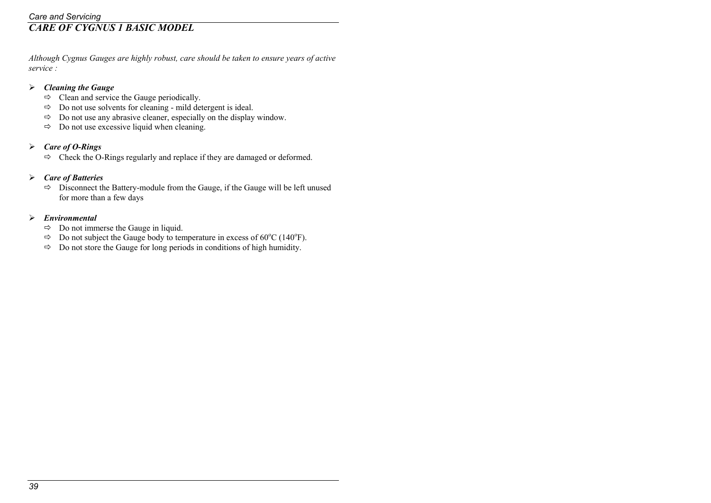### <span id="page-37-0"></span>*CARE OF CYGNUS 1 BASIC MODEL*

*Although Cygnus Gauges are highly robust, care should be taken to ensure years of active service :*

#### $\blacktriangleright$ *Cleaning the Gauge*

- $\Rightarrow$  Clean and service the Gauge periodically.
- $\Rightarrow$  Do not use solvents for cleaning mild detergent is ideal.
- $\Rightarrow$  Do not use any abrasive cleaner, especially on the display window.
- $\Rightarrow$  Do not use excessive liquid when cleaning.

### ¾ *Care of O-Rings*

 $\Rightarrow$  Check the O-Rings regularly and replace if they are damaged or deformed.

### ¾ *Care of Batteries*

 $\Rightarrow$  Disconnect the Battery-module from the Gauge, if the Gauge will be left unused for more than a few days

### ¾ *Environmental*

- $\Rightarrow$  Do not immerse the Gauge in liquid.
- $\Rightarrow$  Do not subject the Gauge body to temperature in excess of 60<sup>o</sup>C (140<sup>o</sup>F).
- $\Rightarrow$  Do not store the Gauge for long periods in conditions of high humidity.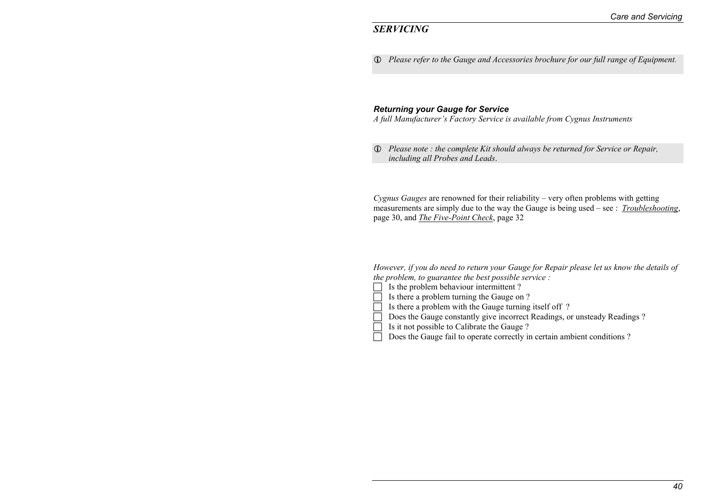### <span id="page-38-0"></span>*SERVICING*

L *Please refer to the Gauge and Accessories brochure for our full range of Equipment.*

#### *Returning your Gauge for Service*

*A full Manufacturer's Factory Service is available from Cygnus Instruments*

L *Please note : the complete Kit should always be returned for Service or Repair, including all Probes and Leads*.

*Cygnus Gauges* are renowned for their reliability – very often problems with getting measurements are simply due to the way the Gauge is being used – see : *Troubleshooting*, page [30,](#page-28-0) and *The Five-Point Check*, page [32](#page-30-0)

*However, if you do need to return your Gauge for Repair please let us know the details of the problem, to guarantee the best possible service :*

 $\Box$  Is the problem behaviour intermittent ?

 $\Box$  Is there a problem turning the Gauge on ?

 $\Box$  Is there a problem with the Gauge turning itself off ?

□ Does the Gauge constantly give incorrect Readings, or unsteady Readings ?

 $\Box$  Is it not possible to Calibrate the Gauge ?

 $\Box$  Does the Gauge fail to operate correctly in certain ambient conditions ?